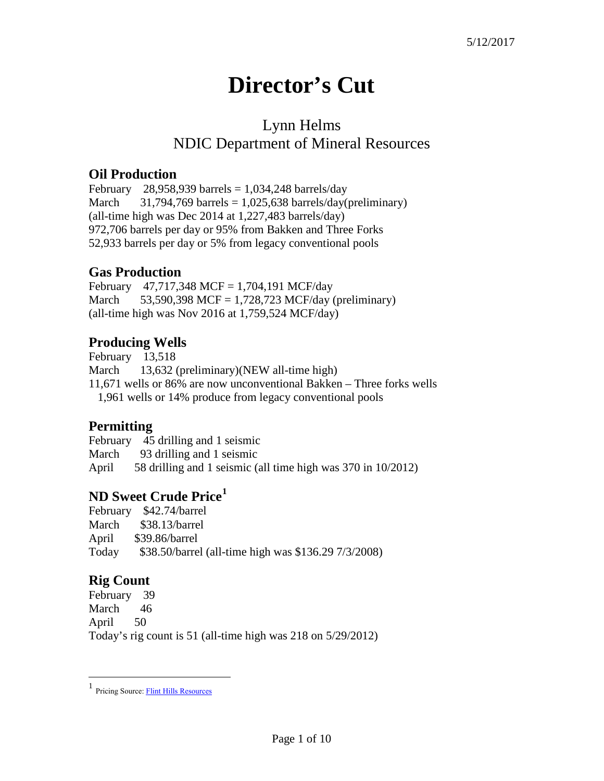# **Director's Cut**

# Lynn Helms NDIC Department of Mineral Resources

#### **Oil Production**

February 28,958,939 barrels =  $1,034,248$  barrels/day March  $31,794,769$  barrels = 1,025,638 barrels/day(preliminary) (all-time high was Dec 2014 at 1,227,483 barrels/day) 972,706 barrels per day or 95% from Bakken and Three Forks 52,933 barrels per day or 5% from legacy conventional pools

#### **Gas Production**

February 47,717,348 MCF = 1,704,191 MCF/day March  $53,590,398$  MCF = 1,728,723 MCF/day (preliminary) (all-time high was Nov 2016 at 1,759,524 MCF/day)

#### **Producing Wells**

February 13,518 March 13,632 (preliminary)(NEW all-time high) 11,671 wells or 86% are now unconventional Bakken – Three forks wells 1,961 wells or 14% produce from legacy conventional pools

#### **Permitting**

February 45 drilling and 1 seismic March 93 drilling and 1 seismic April 58 drilling and 1 seismic (all time high was 370 in 10/2012)

## **ND Sweet Crude Price[1](#page-0-0)**

February \$42.74/barrel March \$38.13/barrel April \$39.86/barrel Today \$38.50/barrel (all-time high was \$136.29 7/3/2008)

## **Rig Count**

 $\overline{a}$ 

February 39 March 46 April 50 Today's rig count is 51 (all-time high was 218 on 5/29/2012)

<span id="page-0-0"></span><sup>1</sup> Pricing Source[: Flint Hills Resources](http://www.fhr.com/refining/bulletins.aspx?AspxAutoDetectCookieSupport=1)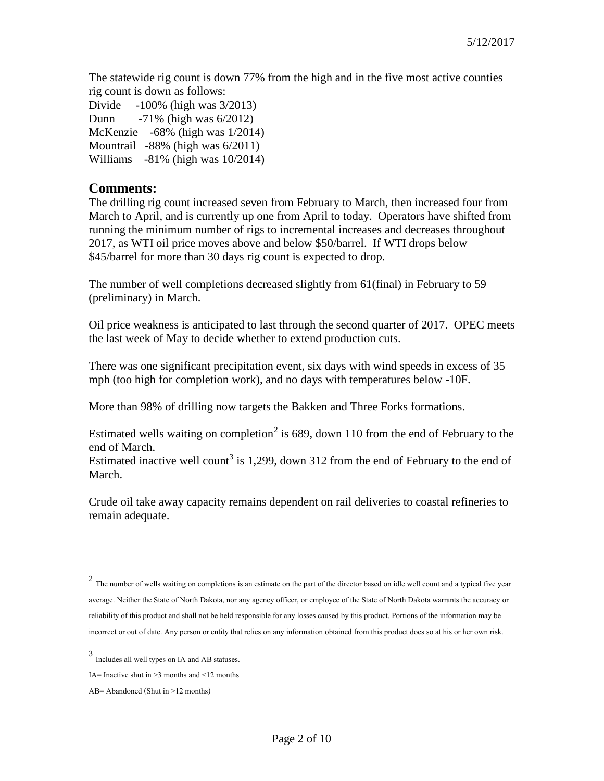The statewide rig count is down 77% from the high and in the five most active counties rig count is down as follows:

Divide -100% (high was 3/2013) Dunn -71% (high was 6/2012) McKenzie -68% (high was 1/2014) Mountrail -88% (high was 6/2011) Williams -81% (high was 10/2014)

#### **Comments:**

The drilling rig count increased seven from February to March, then increased four from March to April, and is currently up one from April to today. Operators have shifted from running the minimum number of rigs to incremental increases and decreases throughout 2017, as WTI oil price moves above and below \$50/barrel. If WTI drops below \$45/barrel for more than 30 days rig count is expected to drop.

The number of well completions decreased slightly from 61(final) in February to 59 (preliminary) in March.

Oil price weakness is anticipated to last through the second quarter of 2017. OPEC meets the last week of May to decide whether to extend production cuts.

There was one significant precipitation event, six days with wind speeds in excess of 35 mph (too high for completion work), and no days with temperatures below -10F.

More than 98% of drilling now targets the Bakken and Three Forks formations.

Estimated wells waiting on completion<sup>[2](#page-1-0)</sup> is 689, down 110 from the end of February to the end of March.

Estimated inactive well count<sup>[3](#page-1-1)</sup> is 1,299, down 312 from the end of February to the end of March.

Crude oil take away capacity remains dependent on rail deliveries to coastal refineries to remain adequate.

 $\overline{a}$ 

<span id="page-1-0"></span> $2$  The number of wells waiting on completions is an estimate on the part of the director based on idle well count and a typical five year average. Neither the State of North Dakota, nor any agency officer, or employee of the State of North Dakota warrants the accuracy or reliability of this product and shall not be held responsible for any losses caused by this product. Portions of the information may be incorrect or out of date. Any person or entity that relies on any information obtained from this product does so at his or her own risk.

<span id="page-1-1"></span><sup>3</sup> Includes all well types on IA and AB statuses.

IA= Inactive shut in  $\geq$ 3 months and  $\leq$ 12 months

AB= Abandoned (Shut in >12 months)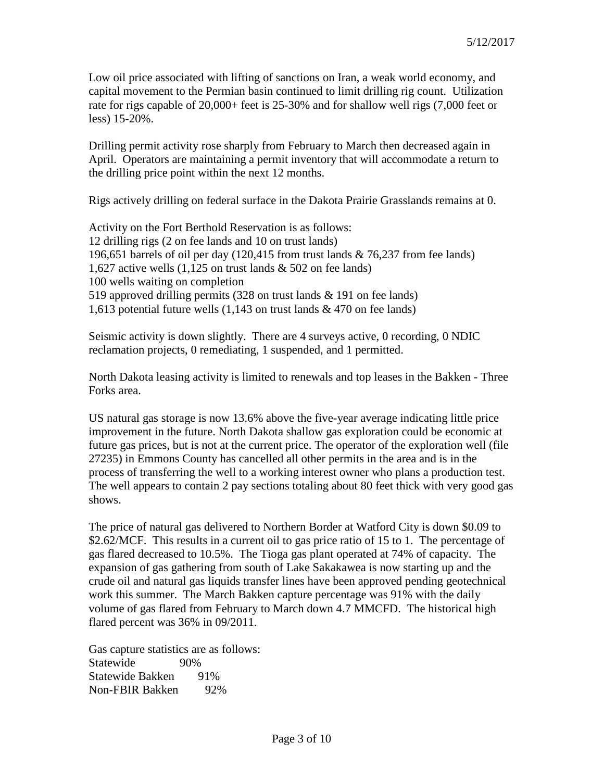Low oil price associated with lifting of sanctions on Iran, a weak world economy, and capital movement to the Permian basin continued to limit drilling rig count. Utilization rate for rigs capable of 20,000+ feet is 25-30% and for shallow well rigs (7,000 feet or less) 15-20%.

Drilling permit activity rose sharply from February to March then decreased again in April. Operators are maintaining a permit inventory that will accommodate a return to the drilling price point within the next 12 months.

Rigs actively drilling on federal surface in the Dakota Prairie Grasslands remains at 0.

Activity on the Fort Berthold Reservation is as follows: 12 drilling rigs (2 on fee lands and 10 on trust lands) 196,651 barrels of oil per day (120,415 from trust lands & 76,237 from fee lands) 1,627 active wells (1,125 on trust lands & 502 on fee lands) 100 wells waiting on completion 519 approved drilling permits (328 on trust lands & 191 on fee lands) 1,613 potential future wells (1,143 on trust lands & 470 on fee lands)

Seismic activity is down slightly. There are 4 surveys active, 0 recording, 0 NDIC reclamation projects, 0 remediating, 1 suspended, and 1 permitted.

North Dakota leasing activity is limited to renewals and top leases in the Bakken - Three Forks area.

US natural gas storage is now 13.6% above the five-year average indicating little price improvement in the future. North Dakota shallow gas exploration could be economic at future gas prices, but is not at the current price. The operator of the exploration well (file 27235) in Emmons County has cancelled all other permits in the area and is in the process of transferring the well to a working interest owner who plans a production test. The well appears to contain 2 pay sections totaling about 80 feet thick with very good gas shows.

The price of natural gas delivered to Northern Border at Watford City is down \$0.09 to \$2.62/MCF. This results in a current oil to gas price ratio of 15 to 1. The percentage of gas flared decreased to 10.5%. The Tioga gas plant operated at 74% of capacity. The expansion of gas gathering from south of Lake Sakakawea is now starting up and the crude oil and natural gas liquids transfer lines have been approved pending geotechnical work this summer. The March Bakken capture percentage was 91% with the daily volume of gas flared from February to March down 4.7 MMCFD. The historical high flared percent was 36% in 09/2011.

Gas capture statistics are as follows: Statewide 90% Statewide Bakken 91% Non-FBIR Bakken 92%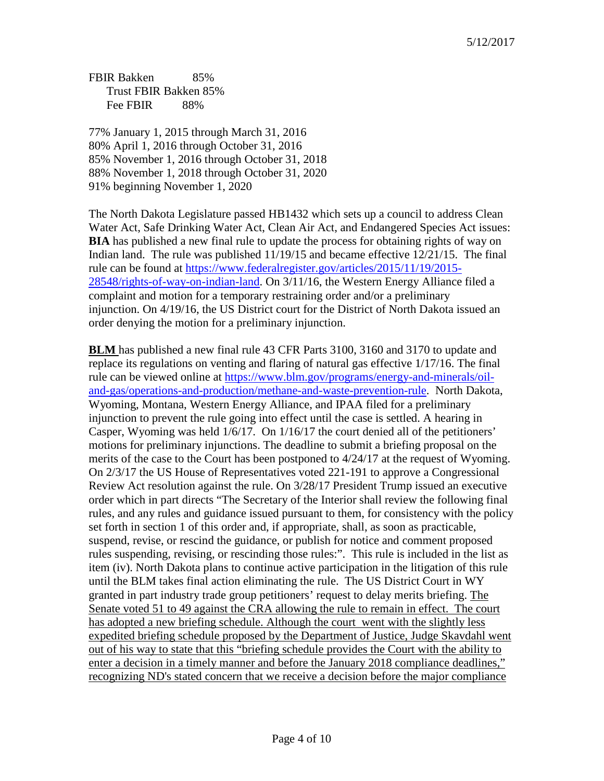FBIR Bakken 85% Trust FBIR Bakken 85% Fee FBIR 88%

77% January 1, 2015 through March 31, 2016 80% April 1, 2016 through October 31, 2016 85% November 1, 2016 through October 31, 2018 88% November 1, 2018 through October 31, 2020 91% beginning November 1, 2020

The North Dakota Legislature passed HB1432 which sets up a council to address Clean Water Act, Safe Drinking Water Act, Clean Air Act, and Endangered Species Act issues: **BIA** has published a new final rule to update the process for obtaining rights of way on Indian land. The rule was published 11/19/15 and became effective 12/21/15. The final rule can be found at [https://www.federalregister.gov/articles/2015/11/19/2015-](https://www.federalregister.gov/articles/2015/11/19/2015-28548/rights-of-way-on-indian-land) [28548/rights-of-way-on-indian-land.](https://www.federalregister.gov/articles/2015/11/19/2015-28548/rights-of-way-on-indian-land) On 3/11/16, the Western Energy Alliance filed a complaint and motion for a temporary restraining order and/or a preliminary injunction. On 4/19/16, the US District court for the District of North Dakota issued an order denying the motion for a preliminary injunction.

**BLM** has published a new final rule 43 CFR Parts 3100, 3160 and 3170 to update and replace its regulations on venting and flaring of natural gas effective 1/17/16. The final rule can be viewed online at [https://www.blm.gov/programs/energy-and-minerals/oil](https://www.blm.gov/programs/energy-and-minerals/oil-and-gas/operations-and-production/methane-and-waste-prevention-rule)[and-gas/operations-and-production/methane-and-waste-prevention-rule.](https://www.blm.gov/programs/energy-and-minerals/oil-and-gas/operations-and-production/methane-and-waste-prevention-rule) North Dakota, Wyoming, Montana, Western Energy Alliance, and IPAA filed for a preliminary injunction to prevent the rule going into effect until the case is settled. A hearing in Casper, Wyoming was held 1/6/17. On 1/16/17 the court denied all of the petitioners' motions for preliminary injunctions. The deadline to submit a briefing proposal on the merits of the case to the Court has been postponed to 4/24/17 at the request of Wyoming. On 2/3/17 the US House of Representatives voted 221-191 to approve a Congressional Review Act resolution against the rule. On 3/28/17 President Trump issued an executive order which in part directs "The Secretary of the Interior shall review the following final rules, and any rules and guidance issued pursuant to them, for consistency with the policy set forth in section 1 of this order and, if appropriate, shall, as soon as practicable, suspend, revise, or rescind the guidance, or publish for notice and comment proposed rules suspending, revising, or rescinding those rules:". This rule is included in the list as item (iv). North Dakota plans to continue active participation in the litigation of this rule until the BLM takes final action eliminating the rule. The US District Court in WY granted in part industry trade group petitioners' request to delay merits briefing. The Senate voted 51 to 49 against the CRA allowing the rule to remain in effect. The court has adopted a new briefing schedule. Although the court went with the slightly less expedited briefing schedule proposed by the Department of Justice, Judge Skavdahl went out of his way to state that this "briefing schedule provides the Court with the ability to enter a decision in a timely manner and before the January 2018 compliance deadlines," recognizing ND's stated concern that we receive a decision before the major compliance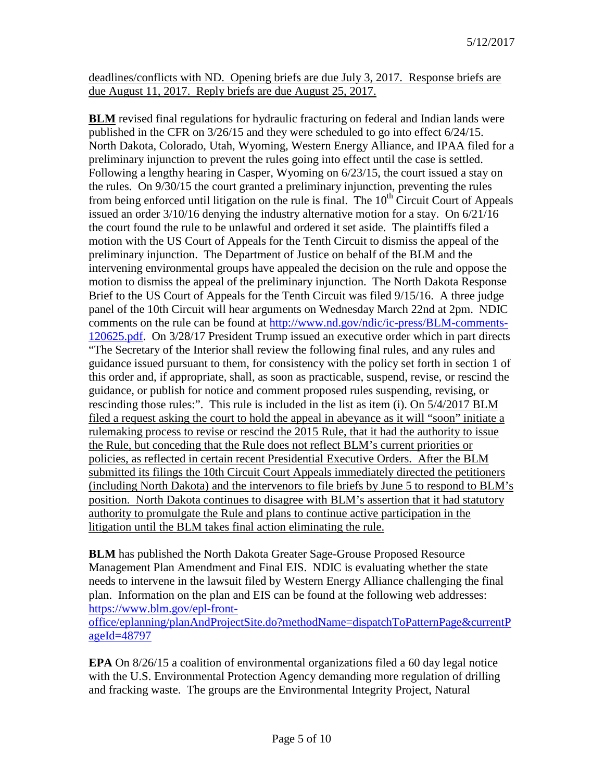deadlines/conflicts with ND. Opening briefs are due July 3, 2017. Response briefs are due August 11, 2017. Reply briefs are due August 25, 2017.

**BLM** revised final regulations for hydraulic fracturing on federal and Indian lands were published in the CFR on 3/26/15 and they were scheduled to go into effect 6/24/15. North Dakota, Colorado, Utah, Wyoming, Western Energy Alliance, and IPAA filed for a preliminary injunction to prevent the rules going into effect until the case is settled. Following a lengthy hearing in Casper, Wyoming on 6/23/15, the court issued a stay on the rules. On 9/30/15 the court granted a preliminary injunction, preventing the rules from being enforced until litigation on the rule is final. The  $10<sup>th</sup>$  Circuit Court of Appeals issued an order 3/10/16 denying the industry alternative motion for a stay. On 6/21/16 the court found the rule to be unlawful and ordered it set aside. The plaintiffs filed a motion with the US Court of Appeals for the Tenth Circuit to dismiss the appeal of the preliminary injunction. The Department of Justice on behalf of the BLM and the intervening environmental groups have appealed the decision on the rule and oppose the motion to dismiss the appeal of the preliminary injunction. The North Dakota Response Brief to the US Court of Appeals for the Tenth Circuit was filed 9/15/16. A three judge panel of the 10th Circuit will hear arguments on Wednesday March 22nd at 2pm. NDIC comments on the rule can be found at [http://www.nd.gov/ndic/ic-press/BLM-comments-](http://www.nd.gov/ndic/ic-press/BLM-comments-120625.pdf)[120625.pdf.](http://www.nd.gov/ndic/ic-press/BLM-comments-120625.pdf) On 3/28/17 President Trump issued an executive order which in part directs "The Secretary of the Interior shall review the following final rules, and any rules and guidance issued pursuant to them, for consistency with the policy set forth in section 1 of this order and, if appropriate, shall, as soon as practicable, suspend, revise, or rescind the guidance, or publish for notice and comment proposed rules suspending, revising, or rescinding those rules:". This rule is included in the list as item (i). On 5/4/2017 BLM filed a request asking the court to hold the appeal in abeyance as it will "soon" initiate a rulemaking process to revise or rescind the 2015 Rule, that it had the authority to issue the Rule, but conceding that the Rule does not reflect BLM's current priorities or policies, as reflected in certain recent Presidential Executive Orders. After the BLM submitted its filings the 10th Circuit Court Appeals immediately directed the petitioners (including North Dakota) and the intervenors to file briefs by June 5 to respond to BLM's position. North Dakota continues to disagree with BLM's assertion that it had statutory authority to promulgate the Rule and plans to continue active participation in the litigation until the BLM takes final action eliminating the rule.

**BLM** has published the North Dakota Greater Sage-Grouse Proposed Resource Management Plan Amendment and Final EIS. NDIC is evaluating whether the state needs to intervene in the lawsuit filed by Western Energy Alliance challenging the final plan. Information on the plan and EIS can be found at the following web addresses: [https://www.blm.gov/epl-front-](https://www.blm.gov/epl-front-office/eplanning/planAndProjectSite.do?methodName=dispatchToPatternPage¤tPageId=48797)

[office/eplanning/planAndProjectSite.do?methodName=dispatchToPatternPage&currentP](https://www.blm.gov/epl-front-office/eplanning/planAndProjectSite.do?methodName=dispatchToPatternPage¤tPageId=48797) [ageId=48797](https://www.blm.gov/epl-front-office/eplanning/planAndProjectSite.do?methodName=dispatchToPatternPage¤tPageId=48797)

**EPA** On 8/26/15 a coalition of environmental organizations filed a 60 day legal notice with the U.S. Environmental Protection Agency demanding more regulation of drilling and fracking waste. The groups are the Environmental Integrity Project, Natural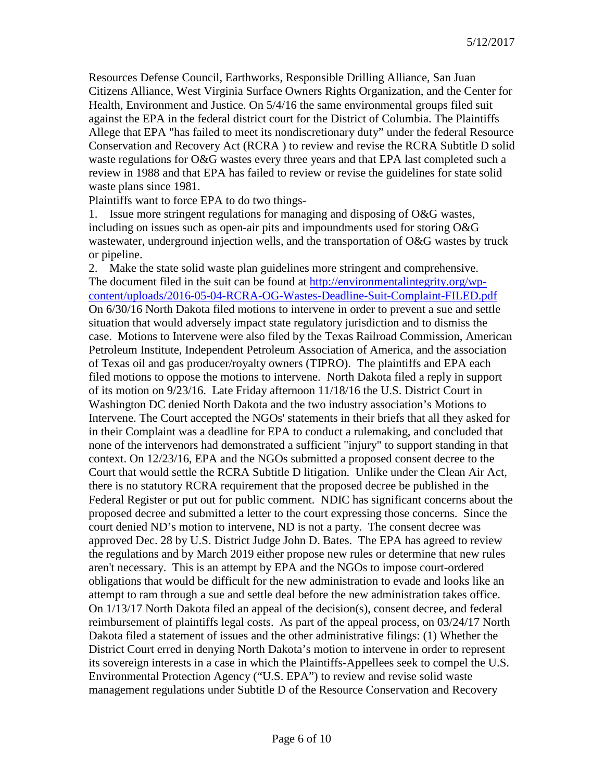Resources Defense Council, Earthworks, Responsible Drilling Alliance, San Juan Citizens Alliance, West Virginia Surface Owners Rights Organization, and the Center for Health, Environment and Justice. On 5/4/16 the same environmental groups filed suit against the EPA in the federal district court for the District of Columbia. The Plaintiffs Allege that EPA "has failed to meet its nondiscretionary duty" under the federal Resource Conservation and Recovery Act (RCRA ) to review and revise the RCRA Subtitle D solid waste regulations for O&G wastes every three years and that EPA last completed such a review in 1988 and that EPA has failed to review or revise the guidelines for state solid waste plans since 1981.

Plaintiffs want to force EPA to do two things-

1. Issue more stringent regulations for managing and disposing of O&G wastes, including on issues such as open-air pits and impoundments used for storing O&G wastewater, underground injection wells, and the transportation of O&G wastes by truck or pipeline.

2. Make the state solid waste plan guidelines more stringent and comprehensive. The document filed in the suit can be found at [http://environmentalintegrity.org/wp](http://environmentalintegrity.org/wp-content/uploads/2016-05-04-RCRA-OG-Wastes-Deadline-Suit-Complaint-FILED.pdf)[content/uploads/2016-05-04-RCRA-OG-Wastes-Deadline-Suit-Complaint-FILED.pdf](http://environmentalintegrity.org/wp-content/uploads/2016-05-04-RCRA-OG-Wastes-Deadline-Suit-Complaint-FILED.pdf) On 6/30/16 North Dakota filed motions to intervene in order to prevent a sue and settle situation that would adversely impact state regulatory jurisdiction and to dismiss the case. Motions to Intervene were also filed by the Texas Railroad Commission, American Petroleum Institute, Independent Petroleum Association of America, and the association of Texas oil and gas producer/royalty owners (TIPRO). The plaintiffs and EPA each filed motions to oppose the motions to intervene. North Dakota filed a reply in support of its motion on 9/23/16. Late Friday afternoon 11/18/16 the U.S. District Court in Washington DC denied North Dakota and the two industry association's Motions to Intervene. The Court accepted the NGOs' statements in their briefs that all they asked for in their Complaint was a deadline for EPA to conduct a rulemaking, and concluded that none of the intervenors had demonstrated a sufficient "injury" to support standing in that context. On 12/23/16, EPA and the NGOs submitted a proposed consent decree to the Court that would settle the RCRA Subtitle D litigation. Unlike under the Clean Air Act, there is no statutory RCRA requirement that the proposed decree be published in the Federal Register or put out for public comment. NDIC has significant concerns about the proposed decree and submitted a letter to the court expressing those concerns. Since the court denied ND's motion to intervene, ND is not a party. The consent decree was approved Dec. 28 by U.S. District Judge John D. Bates. The EPA has agreed to review the regulations and by March 2019 either propose new rules or determine that new rules aren't necessary. This is an attempt by EPA and the NGOs to impose court-ordered obligations that would be difficult for the new administration to evade and looks like an attempt to ram through a sue and settle deal before the new administration takes office. On 1/13/17 North Dakota filed an appeal of the decision(s), consent decree, and federal reimbursement of plaintiffs legal costs. As part of the appeal process, on 03/24/17 North Dakota filed a statement of issues and the other administrative filings: (1) Whether the District Court erred in denying North Dakota's motion to intervene in order to represent its sovereign interests in a case in which the Plaintiffs-Appellees seek to compel the U.S. Environmental Protection Agency ("U.S. EPA") to review and revise solid waste management regulations under Subtitle D of the Resource Conservation and Recovery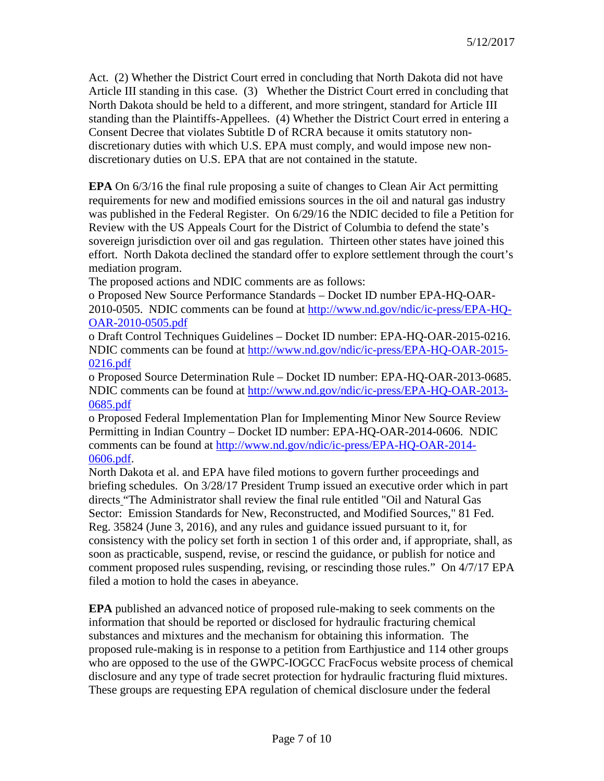Act. (2) Whether the District Court erred in concluding that North Dakota did not have Article III standing in this case. (3) Whether the District Court erred in concluding that North Dakota should be held to a different, and more stringent, standard for Article III standing than the Plaintiffs-Appellees. (4) Whether the District Court erred in entering a Consent Decree that violates Subtitle D of RCRA because it omits statutory nondiscretionary duties with which U.S. EPA must comply, and would impose new nondiscretionary duties on U.S. EPA that are not contained in the statute.

**EPA** On 6/3/16 the final rule proposing a suite of changes to Clean Air Act permitting requirements for new and modified emissions sources in the oil and natural gas industry was published in the Federal Register. On 6/29/16 the NDIC decided to file a Petition for Review with the US Appeals Court for the District of Columbia to defend the state's sovereign jurisdiction over oil and gas regulation. Thirteen other states have joined this effort. North Dakota declined the standard offer to explore settlement through the court's mediation program.

The proposed actions and NDIC comments are as follows:

o Proposed New Source Performance Standards – Docket ID number EPA-HQ-OAR-2010-0505. NDIC comments can be found at [http://www.nd.gov/ndic/ic-press/EPA-HQ-](http://www.nd.gov/ndic/ic-press/EPA-HQ-OAR-2010-0505.pdf)[OAR-2010-0505.pdf](http://www.nd.gov/ndic/ic-press/EPA-HQ-OAR-2010-0505.pdf)

o Draft Control Techniques Guidelines – Docket ID number: EPA-HQ-OAR-2015-0216. NDIC comments can be found at [http://www.nd.gov/ndic/ic-press/EPA-HQ-OAR-2015-](http://www.nd.gov/ndic/ic-press/EPA-HQ-OAR-2015-0216.pdf) [0216.pdf](http://www.nd.gov/ndic/ic-press/EPA-HQ-OAR-2015-0216.pdf)

o Proposed Source Determination Rule – Docket ID number: EPA-HQ-OAR-2013-0685. NDIC comments can be found at [http://www.nd.gov/ndic/ic-press/EPA-HQ-OAR-2013-](http://www.nd.gov/ndic/ic-press/EPA-HQ-OAR-2013-0685.pdf) [0685.pdf](http://www.nd.gov/ndic/ic-press/EPA-HQ-OAR-2013-0685.pdf)

o Proposed Federal Implementation Plan for Implementing Minor New Source Review Permitting in Indian Country – Docket ID number: EPA-HQ-OAR-2014-0606. NDIC comments can be found at [http://www.nd.gov/ndic/ic-press/EPA-HQ-OAR-2014-](http://www.nd.gov/ndic/ic-press/EPA-HQ-OAR-2014-0606.pdf) [0606.pdf.](http://www.nd.gov/ndic/ic-press/EPA-HQ-OAR-2014-0606.pdf)

North Dakota et al. and EPA have filed motions to govern further proceedings and briefing schedules. On 3/28/17 President Trump issued an executive order which in part directs "The Administrator shall review the final rule entitled "Oil and Natural Gas Sector: Emission Standards for New, Reconstructed, and Modified Sources," 81 Fed. Reg. 35824 (June 3, 2016), and any rules and guidance issued pursuant to it, for consistency with the policy set forth in section 1 of this order and, if appropriate, shall, as soon as practicable, suspend, revise, or rescind the guidance, or publish for notice and comment proposed rules suspending, revising, or rescinding those rules." On 4/7/17 EPA filed a motion to hold the cases in abeyance.

**EPA** published an advanced notice of proposed rule-making to seek comments on the information that should be reported or disclosed for hydraulic fracturing chemical substances and mixtures and the mechanism for obtaining this information. The proposed rule-making is in response to a petition from Earthjustice and 114 other groups who are opposed to the use of the GWPC-IOGCC FracFocus website process of chemical disclosure and any type of trade secret protection for hydraulic fracturing fluid mixtures. These groups are requesting EPA regulation of chemical disclosure under the federal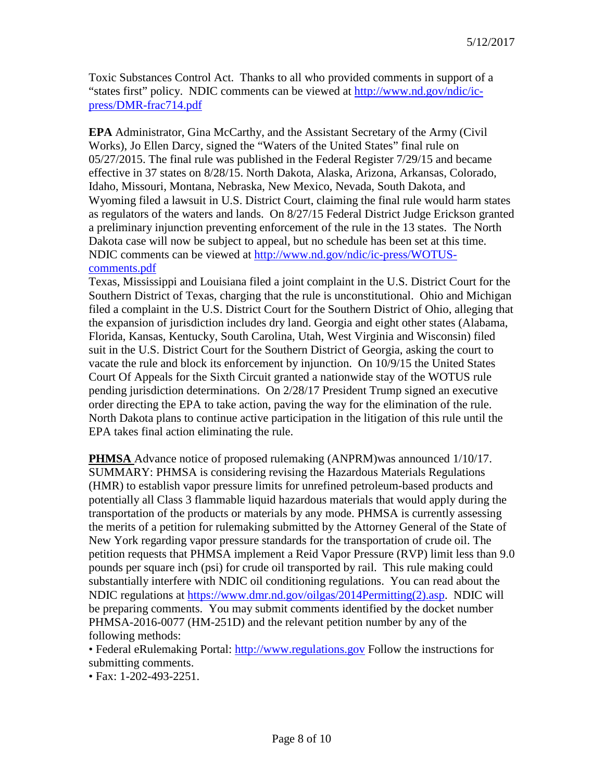Toxic Substances Control Act. Thanks to all who provided comments in support of a "states first" policy. NDIC comments can be viewed at [http://www.nd.gov/ndic/ic](http://www.nd.gov/ndic/ic-press/DMR-frac714.pdf)[press/DMR-frac714.pdf](http://www.nd.gov/ndic/ic-press/DMR-frac714.pdf)

**EPA** Administrator, Gina McCarthy, and the Assistant Secretary of the Army (Civil Works), Jo Ellen Darcy, signed the "Waters of the United States" final rule on 05/27/2015. The final rule was published in the Federal Register 7/29/15 and became effective in 37 states on 8/28/15. North Dakota, Alaska, Arizona, Arkansas, Colorado, Idaho, Missouri, Montana, Nebraska, New Mexico, Nevada, South Dakota, and Wyoming filed a lawsuit in U.S. District Court, claiming the final rule would harm states as regulators of the waters and lands. On 8/27/15 Federal District Judge Erickson granted a preliminary injunction preventing enforcement of the rule in the 13 states. The North Dakota case will now be subject to appeal, but no schedule has been set at this time. NDIC comments can be viewed at [http://www.nd.gov/ndic/ic-press/WOTUS](http://www.nd.gov/ndic/ic-press/WOTUS-comments.pdf)[comments.pdf](http://www.nd.gov/ndic/ic-press/WOTUS-comments.pdf)

Texas, Mississippi and Louisiana filed a joint complaint in the U.S. District Court for the Southern District of Texas, charging that the rule is unconstitutional. Ohio and Michigan filed a complaint in the U.S. District Court for the Southern District of Ohio, alleging that the expansion of jurisdiction includes dry land. Georgia and eight other states (Alabama, Florida, Kansas, Kentucky, South Carolina, Utah, West Virginia and Wisconsin) filed suit in the U.S. District Court for the Southern District of Georgia, asking the court to vacate the rule and block its enforcement by injunction. On 10/9/15 the United States Court Of Appeals for the Sixth Circuit granted a nationwide stay of the WOTUS rule pending jurisdiction determinations. On 2/28/17 President Trump signed an executive order directing the EPA to take action, paving the way for the elimination of the rule. North Dakota plans to continue active participation in the litigation of this rule until the EPA takes final action eliminating the rule.

**PHMSA** Advance notice of proposed rulemaking (ANPRM)was announced 1/10/17. SUMMARY: PHMSA is considering revising the Hazardous Materials Regulations (HMR) to establish vapor pressure limits for unrefined petroleum-based products and potentially all Class 3 flammable liquid hazardous materials that would apply during the transportation of the products or materials by any mode. PHMSA is currently assessing the merits of a petition for rulemaking submitted by the Attorney General of the State of New York regarding vapor pressure standards for the transportation of crude oil. The petition requests that PHMSA implement a Reid Vapor Pressure (RVP) limit less than 9.0 pounds per square inch (psi) for crude oil transported by rail. This rule making could substantially interfere with NDIC oil conditioning regulations. You can read about the NDIC regulations at [https://www.dmr.nd.gov/oilgas/2014Permitting\(2\).asp.](https://www.dmr.nd.gov/oilgas/2014Permitting(2).asp) NDIC will be preparing comments. You may submit comments identified by the docket number PHMSA-2016-0077 (HM-251D) and the relevant petition number by any of the following methods:

• Federal eRulemaking Portal: [http://www.regulations.gov](http://www.regulations.gov/) Follow the instructions for submitting comments.

• Fax: 1-202-493-2251.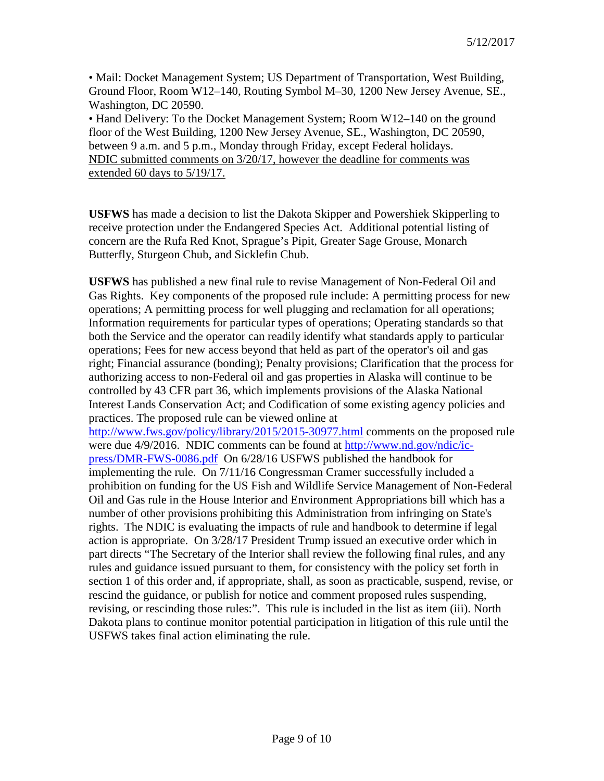• Mail: Docket Management System; US Department of Transportation, West Building, Ground Floor, Room W12–140, Routing Symbol M–30, 1200 New Jersey Avenue, SE., Washington, DC 20590.

• Hand Delivery: To the Docket Management System; Room W12–140 on the ground floor of the West Building, 1200 New Jersey Avenue, SE., Washington, DC 20590, between 9 a.m. and 5 p.m., Monday through Friday, except Federal holidays. NDIC submitted comments on 3/20/17, however the deadline for comments was extended 60 days to 5/19/17.

**USFWS** has made a decision to list the Dakota Skipper and Powershiek Skipperling to receive protection under the Endangered Species Act. Additional potential listing of concern are the Rufa Red Knot, Sprague's Pipit, Greater Sage Grouse, Monarch Butterfly, Sturgeon Chub, and Sicklefin Chub.

**USFWS** has published a new final rule to revise Management of Non-Federal Oil and Gas Rights. Key components of the proposed rule include: A permitting process for new operations; A permitting process for well plugging and reclamation for all operations; Information requirements for particular types of operations; Operating standards so that both the Service and the operator can readily identify what standards apply to particular operations; Fees for new access beyond that held as part of the operator's oil and gas right; Financial assurance (bonding); Penalty provisions; Clarification that the process for authorizing access to non-Federal oil and gas properties in Alaska will continue to be controlled by 43 CFR part 36, which implements provisions of the Alaska National Interest Lands Conservation Act; and Codification of some existing agency policies and practices. The proposed rule can be viewed online at

<http://www.fws.gov/policy/library/2015/2015-30977.html> comments on the proposed rule were due 4/9/2016. NDIC comments can be found at [http://www.nd.gov/ndic/ic](http://www.nd.gov/ndic/ic-press/DMR-FWS-0086.pdf)[press/DMR-FWS-0086.pdf](http://www.nd.gov/ndic/ic-press/DMR-FWS-0086.pdf) On 6/28/16 USFWS published the handbook for implementing the rule. On 7/11/16 Congressman Cramer successfully included a prohibition on funding for the US Fish and Wildlife Service Management of Non-Federal Oil and Gas rule in the House Interior and Environment Appropriations bill which has a number of other provisions prohibiting this Administration from infringing on State's rights. The NDIC is evaluating the impacts of rule and handbook to determine if legal action is appropriate. On 3/28/17 President Trump issued an executive order which in part directs "The Secretary of the Interior shall review the following final rules, and any rules and guidance issued pursuant to them, for consistency with the policy set forth in section 1 of this order and, if appropriate, shall, as soon as practicable, suspend, revise, or rescind the guidance, or publish for notice and comment proposed rules suspending, revising, or rescinding those rules:". This rule is included in the list as item (iii). North Dakota plans to continue monitor potential participation in litigation of this rule until the USFWS takes final action eliminating the rule.